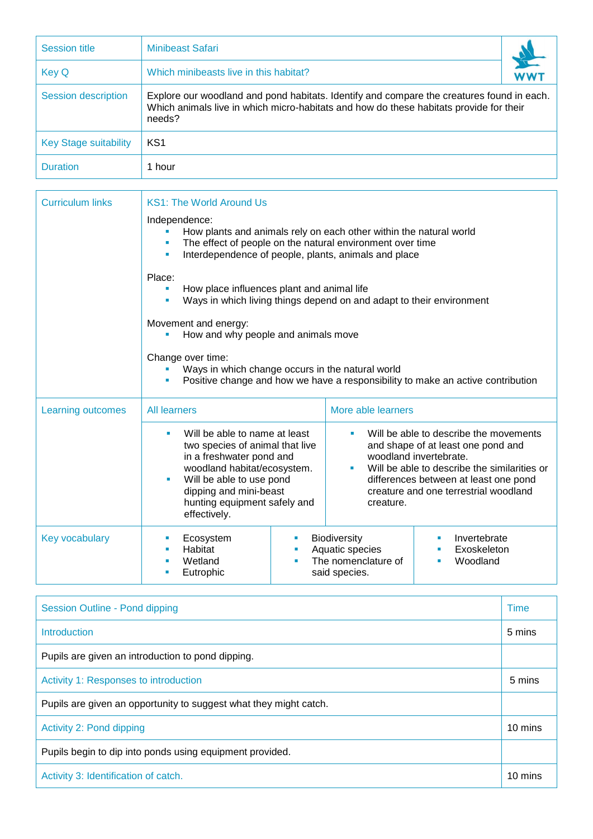| <b>Session title</b>         | <b>Minibeast Safari</b>                                                                                                                                                                       |  |  |  |
|------------------------------|-----------------------------------------------------------------------------------------------------------------------------------------------------------------------------------------------|--|--|--|
| <b>Key Q</b>                 | Which minibeasts live in this habitat?                                                                                                                                                        |  |  |  |
| Session description          | Explore our woodland and pond habitats. Identify and compare the creatures found in each.<br>Which animals live in which micro-habitats and how do these habitats provide for their<br>needs? |  |  |  |
| <b>Key Stage suitability</b> | KS <sub>1</sub>                                                                                                                                                                               |  |  |  |
| <b>Duration</b>              | 1 hour                                                                                                                                                                                        |  |  |  |

Г

| <b>Curriculum links</b> | <b>KS1: The World Around Us</b>                                                                                                                                                                                                                          |  |                                                                                                                                                                                                                                                            |                                         |  |
|-------------------------|----------------------------------------------------------------------------------------------------------------------------------------------------------------------------------------------------------------------------------------------------------|--|------------------------------------------------------------------------------------------------------------------------------------------------------------------------------------------------------------------------------------------------------------|-----------------------------------------|--|
|                         | Independence:<br>How plants and animals rely on each other within the natural world<br>The effect of people on the natural environment over time<br>Interdependence of people, plants, animals and place<br>٠                                            |  |                                                                                                                                                                                                                                                            |                                         |  |
|                         | Place:<br>How place influences plant and animal life<br>٠<br>Ways in which living things depend on and adapt to their environment                                                                                                                        |  |                                                                                                                                                                                                                                                            |                                         |  |
|                         | Movement and energy:<br>How and why people and animals move                                                                                                                                                                                              |  |                                                                                                                                                                                                                                                            |                                         |  |
|                         | Change over time:<br>Ways in which change occurs in the natural world<br>Positive change and how we have a responsibility to make an active contribution                                                                                                 |  |                                                                                                                                                                                                                                                            |                                         |  |
| Learning outcomes       | <b>All learners</b><br>Will be able to name at least<br>two species of animal that live<br>in a freshwater pond and<br>woodland habitat/ecosystem.<br>Will be able to use pond<br>dipping and mini-beast<br>hunting equipment safely and<br>effectively. |  | More able learners                                                                                                                                                                                                                                         |                                         |  |
|                         |                                                                                                                                                                                                                                                          |  | Will be able to describe the movements<br>and shape of at least one pond and<br>woodland invertebrate.<br>Will be able to describe the similarities or<br>٠<br>differences between at least one pond<br>creature and one terrestrial woodland<br>creature. |                                         |  |
| Key vocabulary          | Ecosystem<br>Habitat<br>Wetland<br>Eutrophic                                                                                                                                                                                                             |  | Biodiversity<br>Aquatic species<br>The nomenclature of<br>said species.                                                                                                                                                                                    | Invertebrate<br>Exoskeleton<br>Woodland |  |

| Session Outline - Pond dipping                                    |         |
|-------------------------------------------------------------------|---------|
| <b>Introduction</b>                                               | 5 mins  |
| Pupils are given an introduction to pond dipping.                 |         |
| Activity 1: Responses to introduction                             |         |
| Pupils are given an opportunity to suggest what they might catch. |         |
| Activity 2: Pond dipping                                          | 10 mins |
| Pupils begin to dip into ponds using equipment provided.          |         |
| Activity 3: Identification of catch.                              | 10 mins |